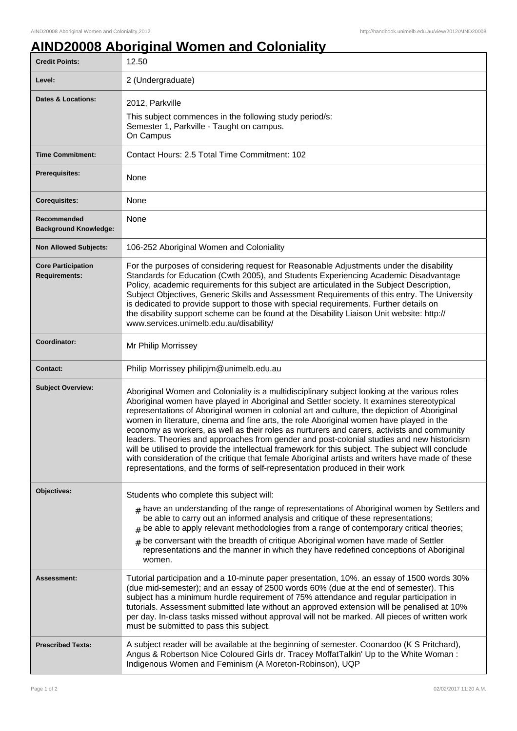## **AIND20008 Aboriginal Women and Coloniality**

| <b>Credit Points:</b>                             | 12.50                                                                                                                                                                                                                                                                                                                                                                                                                                                                                                                                                                                                                                                                                                                                                                                                                                                                       |
|---------------------------------------------------|-----------------------------------------------------------------------------------------------------------------------------------------------------------------------------------------------------------------------------------------------------------------------------------------------------------------------------------------------------------------------------------------------------------------------------------------------------------------------------------------------------------------------------------------------------------------------------------------------------------------------------------------------------------------------------------------------------------------------------------------------------------------------------------------------------------------------------------------------------------------------------|
| Level:                                            | 2 (Undergraduate)                                                                                                                                                                                                                                                                                                                                                                                                                                                                                                                                                                                                                                                                                                                                                                                                                                                           |
| <b>Dates &amp; Locations:</b>                     | 2012, Parkville<br>This subject commences in the following study period/s:<br>Semester 1, Parkville - Taught on campus.<br>On Campus                                                                                                                                                                                                                                                                                                                                                                                                                                                                                                                                                                                                                                                                                                                                        |
| <b>Time Commitment:</b>                           | Contact Hours: 2.5 Total Time Commitment: 102                                                                                                                                                                                                                                                                                                                                                                                                                                                                                                                                                                                                                                                                                                                                                                                                                               |
| <b>Prerequisites:</b>                             | None                                                                                                                                                                                                                                                                                                                                                                                                                                                                                                                                                                                                                                                                                                                                                                                                                                                                        |
| <b>Corequisites:</b>                              | None                                                                                                                                                                                                                                                                                                                                                                                                                                                                                                                                                                                                                                                                                                                                                                                                                                                                        |
| Recommended<br><b>Background Knowledge:</b>       | None                                                                                                                                                                                                                                                                                                                                                                                                                                                                                                                                                                                                                                                                                                                                                                                                                                                                        |
| <b>Non Allowed Subjects:</b>                      | 106-252 Aboriginal Women and Coloniality                                                                                                                                                                                                                                                                                                                                                                                                                                                                                                                                                                                                                                                                                                                                                                                                                                    |
| <b>Core Participation</b><br><b>Requirements:</b> | For the purposes of considering request for Reasonable Adjustments under the disability<br>Standards for Education (Cwth 2005), and Students Experiencing Academic Disadvantage<br>Policy, academic requirements for this subject are articulated in the Subject Description,<br>Subject Objectives, Generic Skills and Assessment Requirements of this entry. The University<br>is dedicated to provide support to those with special requirements. Further details on<br>the disability support scheme can be found at the Disability Liaison Unit website: http://<br>www.services.unimelb.edu.au/disability/                                                                                                                                                                                                                                                            |
| Coordinator:                                      | Mr Philip Morrissey                                                                                                                                                                                                                                                                                                                                                                                                                                                                                                                                                                                                                                                                                                                                                                                                                                                         |
| <b>Contact:</b>                                   | Philip Morrissey philipjm@unimelb.edu.au                                                                                                                                                                                                                                                                                                                                                                                                                                                                                                                                                                                                                                                                                                                                                                                                                                    |
| <b>Subject Overview:</b>                          | Aboriginal Women and Coloniality is a multidisciplinary subject looking at the various roles<br>Aboriginal women have played in Aboriginal and Settler society. It examines stereotypical<br>representations of Aboriginal women in colonial art and culture, the depiction of Aboriginal<br>women in literature, cinema and fine arts, the role Aboriginal women have played in the<br>economy as workers, as well as their roles as nurturers and carers, activists and community<br>leaders. Theories and approaches from gender and post-colonial studies and new historicism<br>will be utilised to provide the intellectual framework for this subject. The subject will conclude<br>with consideration of the critique that female Aboriginal artists and writers have made of these<br>representations, and the forms of self-representation produced in their work |
| Objectives:                                       | Students who complete this subject will:                                                                                                                                                                                                                                                                                                                                                                                                                                                                                                                                                                                                                                                                                                                                                                                                                                    |
|                                                   | $#$ have an understanding of the range of representations of Aboriginal women by Settlers and<br>be able to carry out an informed analysis and critique of these representations;<br>be able to apply relevant methodologies from a range of contemporary critical theories;<br>$#$ be conversant with the breadth of critique Aboriginal women have made of Settler<br>representations and the manner in which they have redefined conceptions of Aboriginal<br>women.                                                                                                                                                                                                                                                                                                                                                                                                     |
| <b>Assessment:</b>                                | Tutorial participation and a 10-minute paper presentation, 10%. an essay of 1500 words 30%<br>(due mid-semester); and an essay of 2500 words 60% (due at the end of semester). This<br>subject has a minimum hurdle requirement of 75% attendance and regular participation in<br>tutorials. Assessment submitted late without an approved extension will be penalised at 10%<br>per day. In-class tasks missed without approval will not be marked. All pieces of written work<br>must be submitted to pass this subject.                                                                                                                                                                                                                                                                                                                                                  |
| <b>Prescribed Texts:</b>                          | A subject reader will be available at the beginning of semester. Coonardoo (K S Pritchard),<br>Angus & Robertson Nice Coloured Girls dr. Tracey MoffatTalkin' Up to the White Woman:<br>Indigenous Women and Feminism (A Moreton-Robinson), UQP                                                                                                                                                                                                                                                                                                                                                                                                                                                                                                                                                                                                                             |